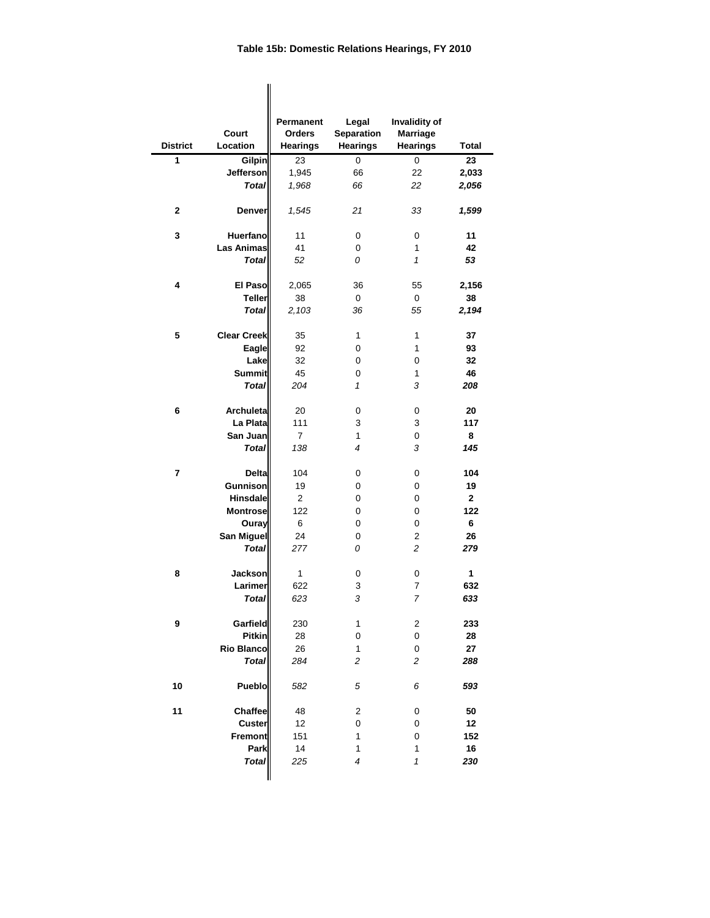|                         |                               | Permanent       | Legal                   | Invalidity of           |              |
|-------------------------|-------------------------------|-----------------|-------------------------|-------------------------|--------------|
|                         | <b>Court</b>                  | <b>Orders</b>   | <b>Separation</b>       | <b>Marriage</b>         |              |
| <b>District</b>         | Location                      | <b>Hearings</b> | <b>Hearings</b>         | <b>Hearings</b>         | <b>Total</b> |
| 1                       | Gilpin                        | 23              | 0                       | 0                       | 23           |
|                         | Jefferson                     | 1,945           | 66                      | 22                      | 2,033        |
|                         | <b>Total</b>                  | 1,968           | 66                      | 22                      | 2,056        |
| $\mathbf{2}$            | <b>Denver</b>                 | 1,545           | 21                      | 33                      | 1,599        |
| 3                       | Huerfano                      | 11              | 0                       | 0                       | 11           |
|                         | <b>Las Animas</b>             | 41              | 0                       | 1                       | 42           |
|                         | <b>Total</b>                  | 52              | 0                       | $\mathcal I$            | 53           |
| 4                       | <b>El Paso</b>                | 2,065           | 36                      | 55                      | 2,156        |
|                         | <b>Teller</b>                 | 38              | 0                       | 0                       | 38           |
|                         | <b>Total</b>                  | 2,103           | 36                      | 55                      | 2,194        |
|                         |                               |                 |                         |                         |              |
| 5                       | <b>Clear Creek</b>            | 35              | 1                       | 1                       | 37           |
|                         | <b>Eagle</b>                  | 92              | 0                       | 1                       | 93           |
|                         | Lake                          | 32              | 0                       | 0                       | 32           |
|                         | <b>Summit</b><br><b>Total</b> | 45<br>204       | 0<br>1                  | 1<br>3                  | 46<br>208    |
|                         |                               |                 |                         |                         |              |
| 6                       | <b>Archuleta</b>              | 20              | 0                       | 0                       | 20           |
|                         | La Plata                      | 111             | 3                       | 3                       | 117          |
|                         | San Juan                      | $\overline{7}$  | 1                       | 0                       | 8            |
|                         | <b>Total</b>                  | 138             | $\overline{4}$          | 3                       | 145          |
| $\overline{\mathbf{r}}$ | <b>Delta</b>                  | 104             | 0                       | 0                       | 104          |
|                         | Gunnison                      | 19              | 0                       | 0                       | 19           |
|                         | <b>Hinsdale</b>               | $\overline{c}$  | 0                       | 0                       | $\mathbf{2}$ |
|                         | <b>Montrose</b>               | 122             | 0                       | 0                       | 122          |
|                         | Ouray                         | 6               | 0                       | 0                       | 6            |
|                         | San Miguel                    | 24              | 0                       | $\overline{\mathbf{c}}$ | 26           |
|                         | <b>Total</b>                  | 277             | 0                       | $\overline{c}$          | 279          |
| 8                       | Jackson                       | $\mathbf{1}$    | 0                       | 0                       | $\mathbf{1}$ |
|                         | Larimer                       | 622             | 3                       | $\overline{7}$          | 632          |
|                         | <b>Total</b>                  | 623             | 3                       | 7                       | 633          |
| $\boldsymbol{9}$        | Garfield                      | 230             | 1                       | $\overline{c}$          | 233          |
|                         | <b>Pitkin</b>                 | 28              | 0                       | 0                       | 28           |
|                         | <b>Rio Blanco</b>             | 26              | 1                       | 0                       | 27           |
|                         | <b>Total</b>                  | 284             | $\overline{c}$          | 2                       | 288          |
| 10                      | <b>Pueblo</b>                 | 582             | 5                       | 6                       | 593          |
| 11                      | <b>Chaffee</b>                | 48              | $\overline{\mathbf{c}}$ | 0                       | 50           |
|                         | <b>Custer</b>                 | 12              | 0                       | 0                       | 12           |
|                         | <b>Fremont</b>                | 151             | 1                       | 0                       | 152          |
|                         | Park                          | 14              | $\mathbf{1}$            | 1                       | 16           |
|                         | <b>Total</b>                  | 225             | $\overline{4}$          | 1                       | 230          |
|                         |                               |                 |                         |                         |              |